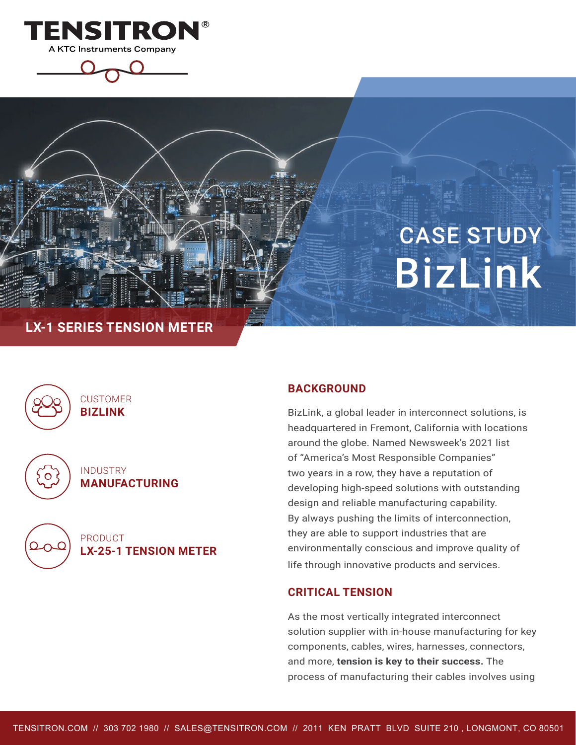



# CASE STUDY BizLink

# **LX-1 SERIES TENSION METER**



CUSTOMER **BIZLINK**

INDUSTRY **MANUFACTURING**



#### PRODUCT **LX-25-1 TENSION METER**

### **BACKGROUND**

BizLink, a global leader in interconnect solutions, is headquartered in Fremont, California with locations around the globe. Named Newsweek's 2021 list of "America's Most Responsible Companies" two years in a row, they have a reputation of developing high-speed solutions with outstanding design and reliable manufacturing capability. By always pushing the limits of interconnection, they are able to support industries that are environmentally conscious and improve quality of life through innovative products and services.

### **CRITICAL TENSION**

As the most vertically integrated interconnect solution supplier with in-house manufacturing for key components, cables, wires, harnesses, connectors, and more, **tension is key to their success.** The process of manufacturing their cables involves using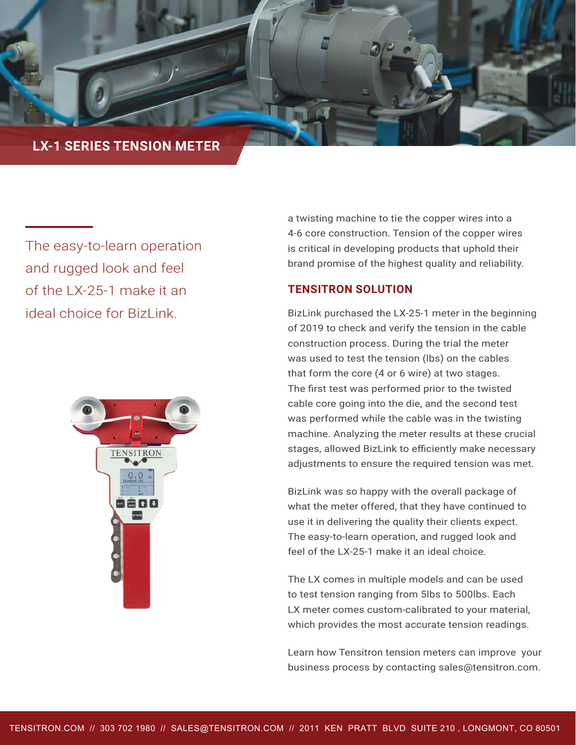

The easy-to-learn operation and rugged look and feel of the LX-25-1 make it an ideal choice for Bizl ink

a twisting machine to tie the copper wires into a 4-6 core construction. Tension of the copper wires is critical in developing products that uphold their brand promise of the highest quality and reliability.

#### **TENSITRON SOLUTION**

BizLink purchased the LX-25-1 meter in the beginning of 2019 to check and verify the tension in the cable construction process. During the trial the meter was used to test the tension (lbs) on the cables that form the core (4 or 6 wire) at two stages. The first test was performed prior to the twisted cable core going into the die, and the second test was performed while the cable was in the twisting machine. Analyzing the meter results at these crucial stages, allowed BizLink to efficiently make necessary adjustments to ensure the required tension was met.

BizLink was so happy with the overall package of what the meter offered, that they have continued to use it in delivering the quality their clients expect. The easy-to-learn operation, and rugged look and feel of the LX-25-1 make it an ideal choice.

The LX comes in multiple models and can be used to test tension ranging from 5lbs to 500lbs. Each LX meter comes custom-calibrated to your material, which provides the most accurate tension readings.

Learn how Tensitron tension meters can improve your business process by contacting sales@tensitron.com.